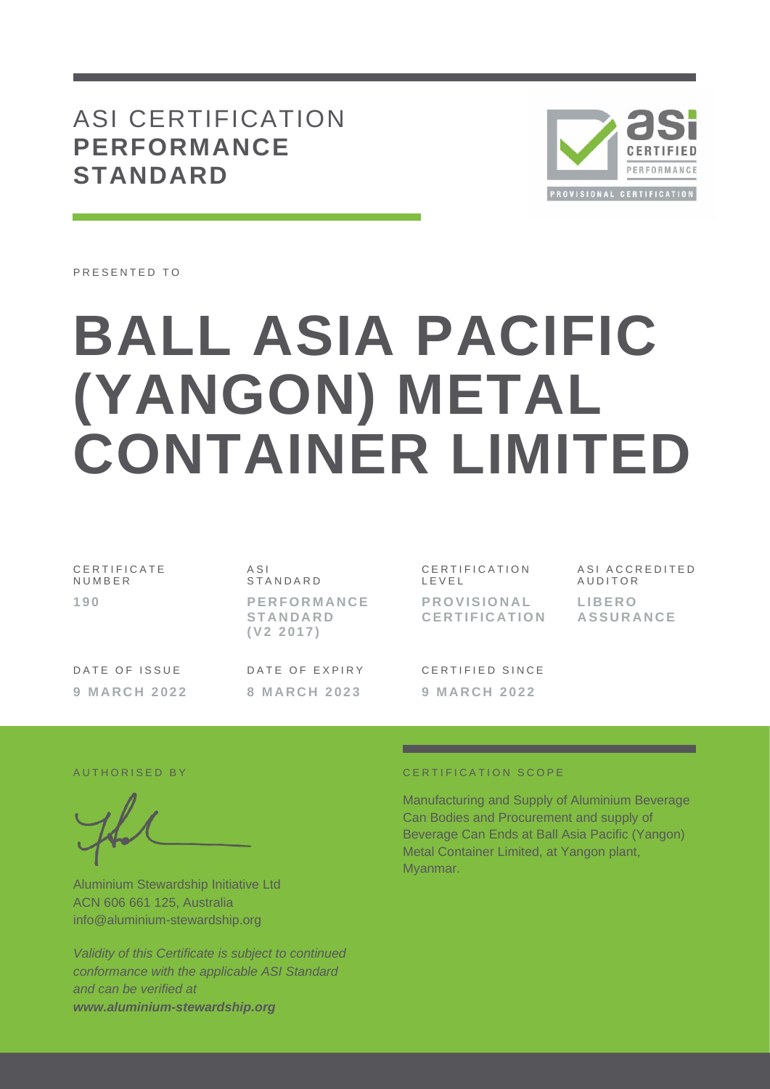# ASI CERTIFICATION **PERFORMANCE STANDARD**



PRESENTED TO

# **BALL ASIA PACIFIC (YANGON) METAL CONTAINER LIMITED**

| CERTIFICATE<br>NUMBER |  |
|-----------------------|--|
| 190                   |  |

A S I **STANDARD** 

**P E R F O R M A N C E S T A N D A R D ( V 2 2 0 1 7 )**

DATE OF ISSUE **9 M A R C H 2 0 2 2**

DATE OF EXPIRY **8 M A R C H 2 0 2 3**

CERTIFICATION L E V E L

**P R O V I S I O N A L C E R T I F I C A T I O N** ASI ACCREDITED **AUDITOR L I B E R O A S S U R A N C E**

CERTIFIED SINCE **9 M A R C H 2 0 2 2**

Aluminium Stewardship Initiative Ltd ACN 606 661 125, Australia info@aluminium-stewardship.org

*Validity of this Certificate is subject to continued conformance with the applicable ASI Standard and can be verified at www.aluminium-stewardship.org*

#### A UTHORISED BY **CERTIFICATION** SCOPE

Manufacturing and Supply of Aluminium Beverage Can Bodies and Procurement and supply of Beverage Can Ends at Ball Asia Pacific (Yangon) Metal Container Limited, at Yangon plant, Myanmar.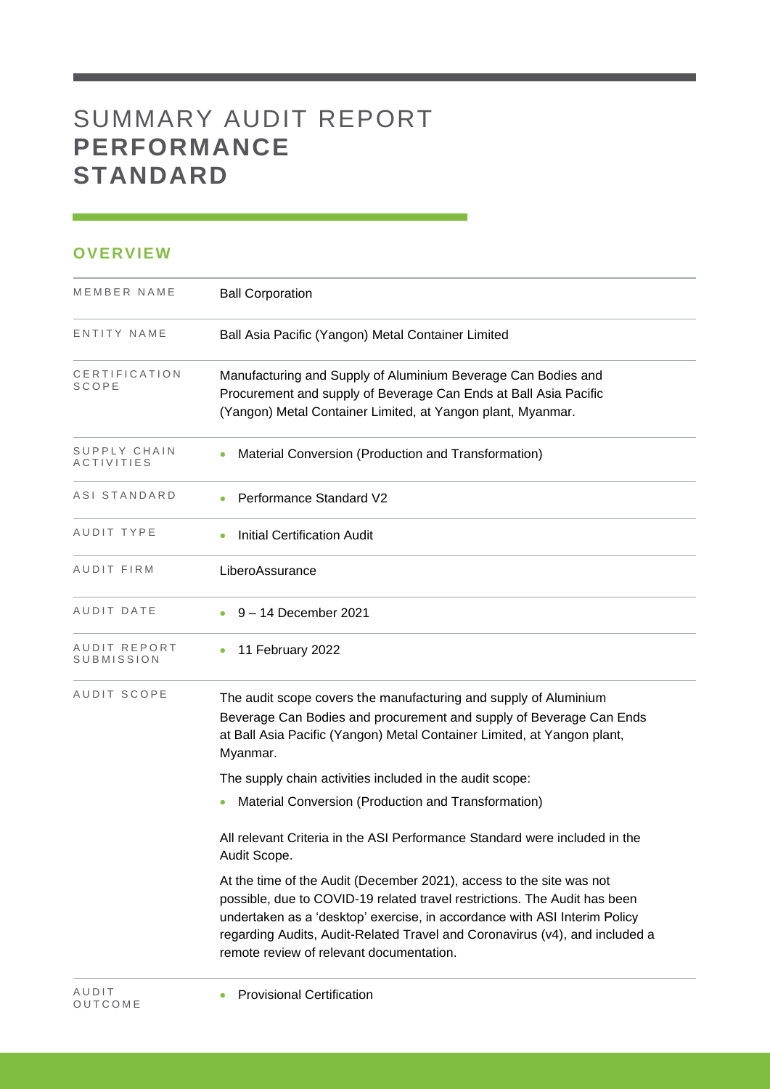# SUMMARY AUDIT REPORT **PERFORMANCE STANDARD**

## **OVERVIEW**

| MEMBER NAME                              | <b>Ball Corporation</b>                                                                                                                                                                                                                                                                                                                                   |
|------------------------------------------|-----------------------------------------------------------------------------------------------------------------------------------------------------------------------------------------------------------------------------------------------------------------------------------------------------------------------------------------------------------|
| ENTITY NAME                              | Ball Asia Pacific (Yangon) Metal Container Limited                                                                                                                                                                                                                                                                                                        |
| CERTIFICATION<br>SCOPE                   | Manufacturing and Supply of Aluminium Beverage Can Bodies and<br>Procurement and supply of Beverage Can Ends at Ball Asia Pacific<br>(Yangon) Metal Container Limited, at Yangon plant, Myanmar.                                                                                                                                                          |
| SUPPLY CHAIN<br><i><b>ACTIVITIES</b></i> | Material Conversion (Production and Transformation)                                                                                                                                                                                                                                                                                                       |
| ASI STANDARD                             | Performance Standard V2                                                                                                                                                                                                                                                                                                                                   |
| AUDIT TYPE                               | <b>Initial Certification Audit</b>                                                                                                                                                                                                                                                                                                                        |
| AUDIT FIRM                               | LiberoAssurance                                                                                                                                                                                                                                                                                                                                           |
| AUDIT DATE                               | 9-14 December 2021                                                                                                                                                                                                                                                                                                                                        |
| AUDIT REPORT<br>SUBMISSION               | 11 February 2022                                                                                                                                                                                                                                                                                                                                          |
| AUDIT SCOPE                              | The audit scope covers the manufacturing and supply of Aluminium<br>Beverage Can Bodies and procurement and supply of Beverage Can Ends<br>at Ball Asia Pacific (Yangon) Metal Container Limited, at Yangon plant,<br>Myanmar.                                                                                                                            |
|                                          | The supply chain activities included in the audit scope:                                                                                                                                                                                                                                                                                                  |
|                                          | Material Conversion (Production and Transformation)<br>$\bullet$                                                                                                                                                                                                                                                                                          |
|                                          | All relevant Criteria in the ASI Performance Standard were included in the<br>Audit Scope.                                                                                                                                                                                                                                                                |
|                                          | At the time of the Audit (December 2021), access to the site was not<br>possible, due to COVID-19 related travel restrictions. The Audit has been<br>undertaken as a 'desktop' exercise, in accordance with ASI Interim Policy<br>regarding Audits, Audit-Related Travel and Coronavirus (v4), and included a<br>remote review of relevant documentation. |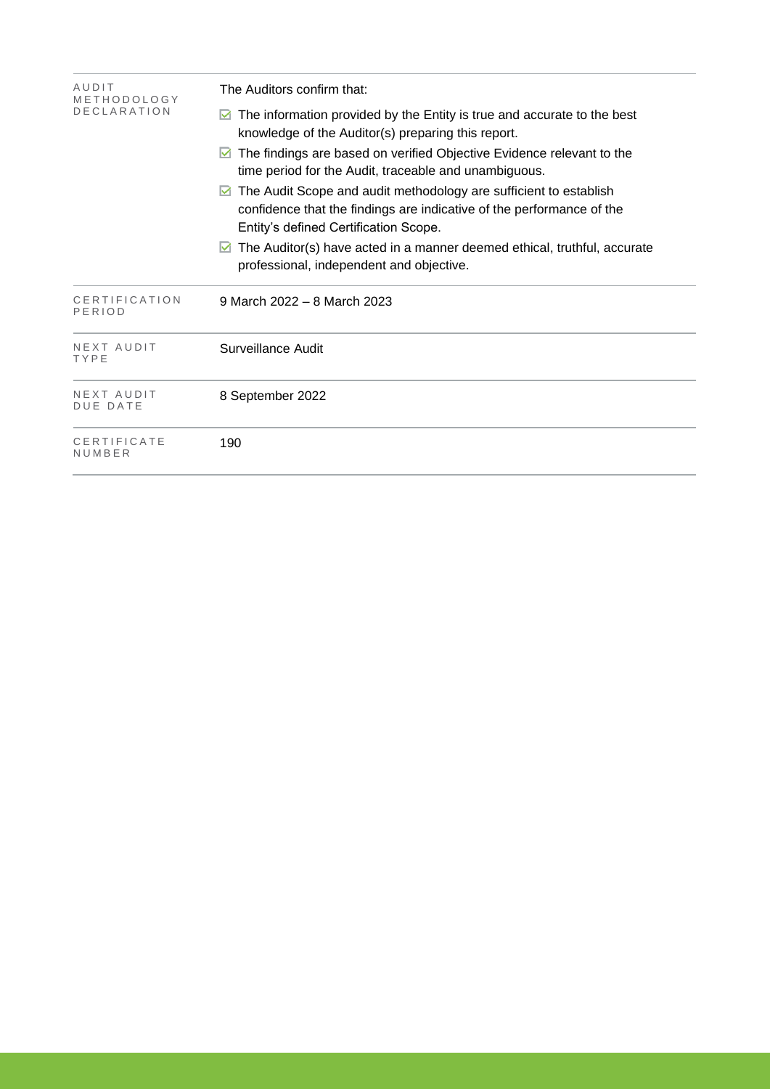| AUDIT<br>METHODOLOGY          | The Auditors confirm that:                                                                                                                                                               |  |  |  |  |
|-------------------------------|------------------------------------------------------------------------------------------------------------------------------------------------------------------------------------------|--|--|--|--|
| <b>DECLARATION</b>            | The information provided by the Entity is true and accurate to the best<br>knowledge of the Auditor(s) preparing this report.                                                            |  |  |  |  |
|                               | The findings are based on verified Objective Evidence relevant to the<br>⊻<br>time period for the Audit, traceable and unambiguous.                                                      |  |  |  |  |
|                               | The Audit Scope and audit methodology are sufficient to establish<br>M<br>confidence that the findings are indicative of the performance of the<br>Entity's defined Certification Scope. |  |  |  |  |
|                               | The Auditor(s) have acted in a manner deemed ethical, truthful, accurate<br>M<br>professional, independent and objective.                                                                |  |  |  |  |
| CERTIFICATION<br>PERIOD       | 9 March 2022 - 8 March 2023                                                                                                                                                              |  |  |  |  |
| NEXT AUDIT<br>TYPE            | Surveillance Audit                                                                                                                                                                       |  |  |  |  |
| NEXT AUDIT<br><b>DUE DATE</b> | 8 September 2022                                                                                                                                                                         |  |  |  |  |
| CERTIFICATE<br>NUMBER         | 190                                                                                                                                                                                      |  |  |  |  |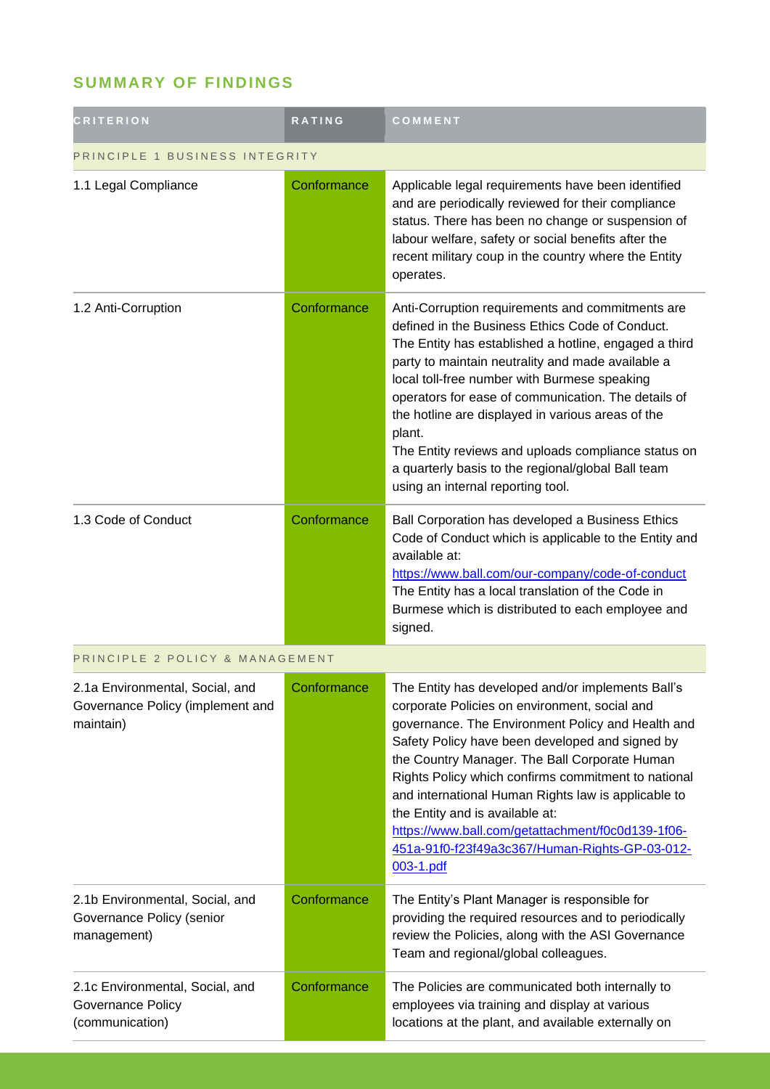# **SUMMARY OF FINDINGS**

| <b>CRITERION</b>                                                                 | <b>RATING</b> | COMMENT                                                                                                                                                                                                                                                                                                                                                                                                                                                                                                                                   |  |
|----------------------------------------------------------------------------------|---------------|-------------------------------------------------------------------------------------------------------------------------------------------------------------------------------------------------------------------------------------------------------------------------------------------------------------------------------------------------------------------------------------------------------------------------------------------------------------------------------------------------------------------------------------------|--|
| PRINCIPLE 1 BUSINESS INTEGRITY                                                   |               |                                                                                                                                                                                                                                                                                                                                                                                                                                                                                                                                           |  |
| 1.1 Legal Compliance                                                             | Conformance   | Applicable legal requirements have been identified<br>and are periodically reviewed for their compliance<br>status. There has been no change or suspension of<br>labour welfare, safety or social benefits after the<br>recent military coup in the country where the Entity<br>operates.                                                                                                                                                                                                                                                 |  |
| 1.2 Anti-Corruption                                                              | Conformance   | Anti-Corruption requirements and commitments are<br>defined in the Business Ethics Code of Conduct.<br>The Entity has established a hotline, engaged a third<br>party to maintain neutrality and made available a<br>local toll-free number with Burmese speaking<br>operators for ease of communication. The details of<br>the hotline are displayed in various areas of the<br>plant.<br>The Entity reviews and uploads compliance status on<br>a quarterly basis to the regional/global Ball team<br>using an internal reporting tool. |  |
| 1.3 Code of Conduct                                                              | Conformance   | Ball Corporation has developed a Business Ethics<br>Code of Conduct which is applicable to the Entity and<br>available at:<br>https://www.ball.com/our-company/code-of-conduct<br>The Entity has a local translation of the Code in<br>Burmese which is distributed to each employee and<br>signed.                                                                                                                                                                                                                                       |  |
| PRINCIPLE 2 POLICY & MANAGEMENT                                                  |               |                                                                                                                                                                                                                                                                                                                                                                                                                                                                                                                                           |  |
| 2.1a Environmental, Social, and<br>Governance Policy (implement and<br>maintain) | Conformance   | The Entity has developed and/or implements Ball's<br>corporate Policies on environment, social and<br>governance. The Environment Policy and Health and<br>Safety Policy have been developed and signed by<br>the Country Manager. The Ball Corporate Human<br>Rights Policy which confirms commitment to national<br>and international Human Rights law is applicable to<br>the Entity and is available at:<br>https://www.ball.com/getattachment/f0c0d139-1f06-<br>451a-91f0-f23f49a3c367/Human-Rights-GP-03-012-<br>003-1.pdf          |  |
| 2.1b Environmental, Social, and<br>Governance Policy (senior<br>management)      | Conformance   | The Entity's Plant Manager is responsible for<br>providing the required resources and to periodically<br>review the Policies, along with the ASI Governance<br>Team and regional/global colleagues.                                                                                                                                                                                                                                                                                                                                       |  |
| 2.1c Environmental, Social, and<br><b>Governance Policy</b><br>(communication)   | Conformance   | The Policies are communicated both internally to<br>employees via training and display at various<br>locations at the plant, and available externally on                                                                                                                                                                                                                                                                                                                                                                                  |  |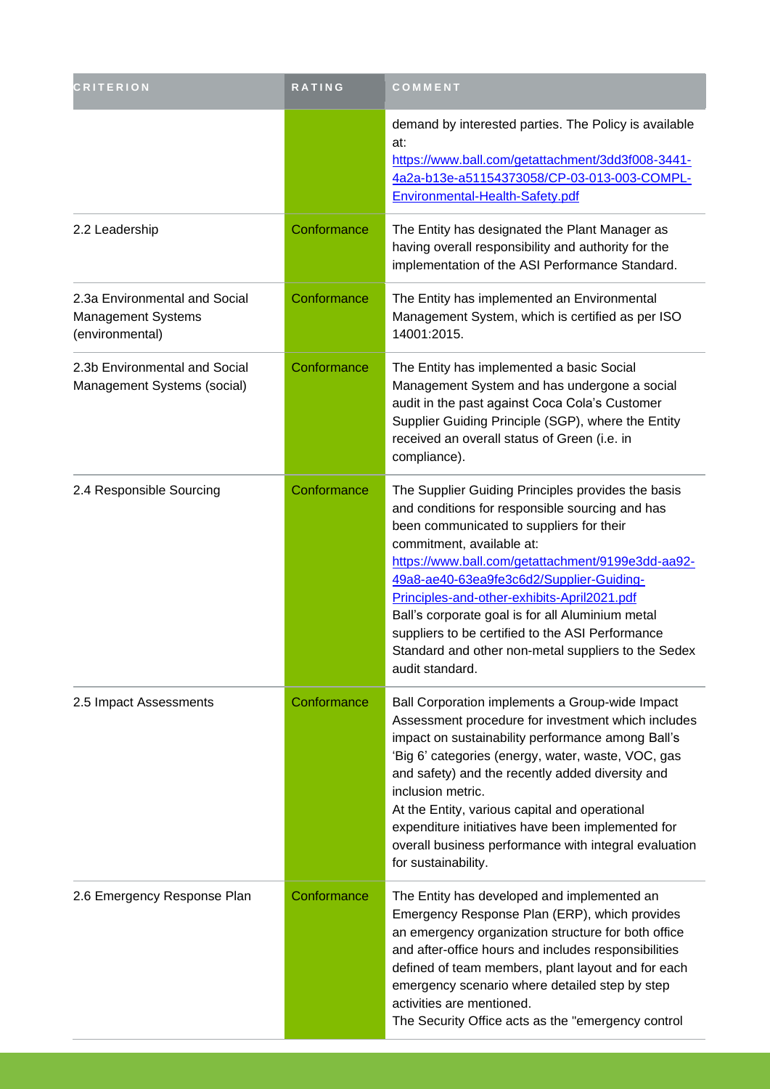| <b>CRITERION</b>                                                       | RATING      | COMMENT                                                                                                                                                                                                                                                                                                                                                                                                                                                                                                          |
|------------------------------------------------------------------------|-------------|------------------------------------------------------------------------------------------------------------------------------------------------------------------------------------------------------------------------------------------------------------------------------------------------------------------------------------------------------------------------------------------------------------------------------------------------------------------------------------------------------------------|
|                                                                        |             | demand by interested parties. The Policy is available<br>at:<br>https://www.ball.com/getattachment/3dd3f008-3441-<br>4a2a-b13e-a51154373058/CP-03-013-003-COMPL-<br>Environmental-Health-Safety.pdf                                                                                                                                                                                                                                                                                                              |
| 2.2 Leadership                                                         | Conformance | The Entity has designated the Plant Manager as<br>having overall responsibility and authority for the<br>implementation of the ASI Performance Standard.                                                                                                                                                                                                                                                                                                                                                         |
| 2.3a Environmental and Social<br>Management Systems<br>(environmental) | Conformance | The Entity has implemented an Environmental<br>Management System, which is certified as per ISO<br>14001:2015.                                                                                                                                                                                                                                                                                                                                                                                                   |
| 2.3b Environmental and Social<br>Management Systems (social)           | Conformance | The Entity has implemented a basic Social<br>Management System and has undergone a social<br>audit in the past against Coca Cola's Customer<br>Supplier Guiding Principle (SGP), where the Entity<br>received an overall status of Green (i.e. in<br>compliance).                                                                                                                                                                                                                                                |
| 2.4 Responsible Sourcing                                               | Conformance | The Supplier Guiding Principles provides the basis<br>and conditions for responsible sourcing and has<br>been communicated to suppliers for their<br>commitment, available at:<br>https://www.ball.com/getattachment/9199e3dd-aa92-<br>49a8-ae40-63ea9fe3c6d2/Supplier-Guiding-<br>Principles-and-other-exhibits-April2021.pdf<br>Ball's corporate goal is for all Aluminium metal<br>suppliers to be certified to the ASI Performance<br>Standard and other non-metal suppliers to the Sedex<br>audit standard. |
| 2.5 Impact Assessments                                                 | Conformance | Ball Corporation implements a Group-wide Impact<br>Assessment procedure for investment which includes<br>impact on sustainability performance among Ball's<br>'Big 6' categories (energy, water, waste, VOC, gas<br>and safety) and the recently added diversity and<br>inclusion metric.<br>At the Entity, various capital and operational<br>expenditure initiatives have been implemented for<br>overall business performance with integral evaluation<br>for sustainability.                                 |
| 2.6 Emergency Response Plan                                            | Conformance | The Entity has developed and implemented an<br>Emergency Response Plan (ERP), which provides<br>an emergency organization structure for both office<br>and after-office hours and includes responsibilities<br>defined of team members, plant layout and for each<br>emergency scenario where detailed step by step<br>activities are mentioned.<br>The Security Office acts as the "emergency control                                                                                                           |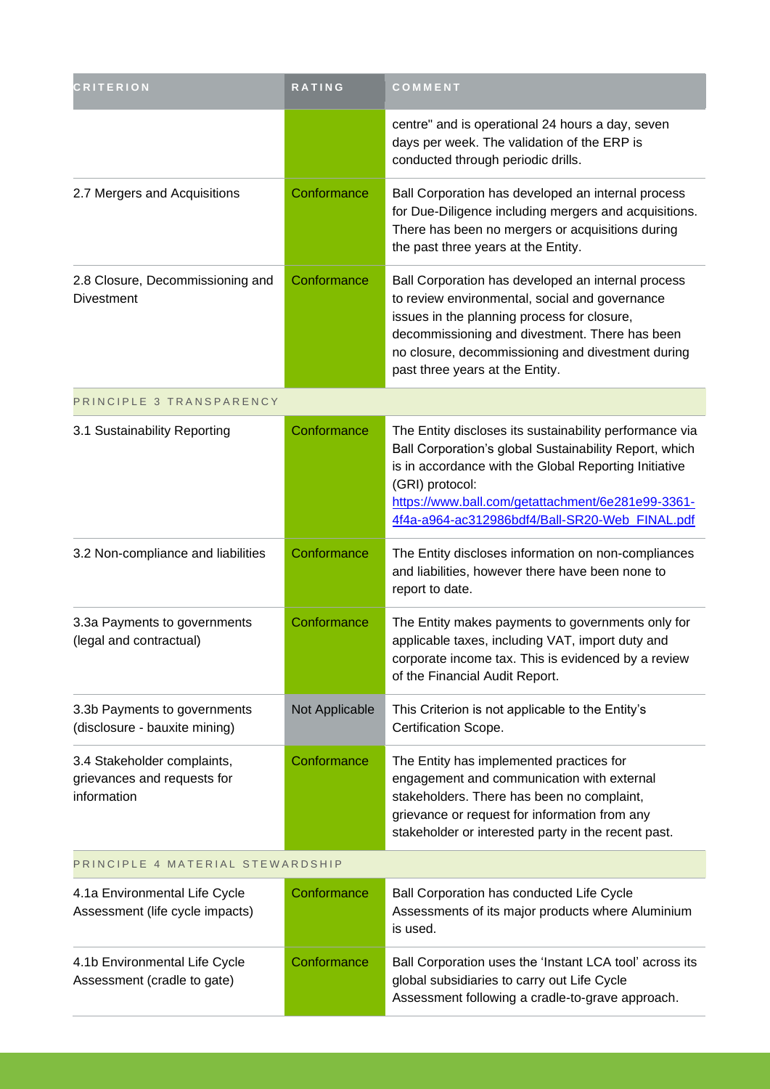| <b>CRITERION</b>                                                          | RATING         | COMMENT                                                                                                                                                                                                                                                                                              |
|---------------------------------------------------------------------------|----------------|------------------------------------------------------------------------------------------------------------------------------------------------------------------------------------------------------------------------------------------------------------------------------------------------------|
|                                                                           |                | centre" and is operational 24 hours a day, seven<br>days per week. The validation of the ERP is<br>conducted through periodic drills.                                                                                                                                                                |
| 2.7 Mergers and Acquisitions                                              | Conformance    | Ball Corporation has developed an internal process<br>for Due-Diligence including mergers and acquisitions.<br>There has been no mergers or acquisitions during<br>the past three years at the Entity.                                                                                               |
| 2.8 Closure, Decommissioning and<br><b>Divestment</b>                     | Conformance    | Ball Corporation has developed an internal process<br>to review environmental, social and governance<br>issues in the planning process for closure,<br>decommissioning and divestment. There has been<br>no closure, decommissioning and divestment during<br>past three years at the Entity.        |
| PRINCIPLE 3 TRANSPARENCY                                                  |                |                                                                                                                                                                                                                                                                                                      |
| 3.1 Sustainability Reporting                                              | Conformance    | The Entity discloses its sustainability performance via<br>Ball Corporation's global Sustainability Report, which<br>is in accordance with the Global Reporting Initiative<br>(GRI) protocol:<br>https://www.ball.com/getattachment/6e281e99-3361-<br>4f4a-a964-ac312986bdf4/Ball-SR20-Web_FINAL.pdf |
| 3.2 Non-compliance and liabilities                                        | Conformance    | The Entity discloses information on non-compliances<br>and liabilities, however there have been none to<br>report to date.                                                                                                                                                                           |
| 3.3a Payments to governments<br>(legal and contractual)                   | Conformance    | The Entity makes payments to governments only for<br>applicable taxes, including VAT, import duty and<br>corporate income tax. This is evidenced by a review<br>of the Financial Audit Report.                                                                                                       |
| 3.3b Payments to governments<br>(disclosure - bauxite mining)             | Not Applicable | This Criterion is not applicable to the Entity's<br>Certification Scope.                                                                                                                                                                                                                             |
| 3.4 Stakeholder complaints,<br>grievances and requests for<br>information | Conformance    | The Entity has implemented practices for<br>engagement and communication with external<br>stakeholders. There has been no complaint,<br>grievance or request for information from any<br>stakeholder or interested party in the recent past.                                                         |
| PRINCIPLE 4 MATERIAL STEWARDSHIP                                          |                |                                                                                                                                                                                                                                                                                                      |
| 4.1a Environmental Life Cycle<br>Accordoment (life quale importe)         | Conformance    | Ball Corporation has conducted Life Cycle<br>According of its moint products where Aluminium                                                                                                                                                                                                         |

| 4.1a Environmental Life Cycle<br>Assessment (life cycle impacts) | Conformance | Ball Corporation has conducted Life Cycle<br>Assessments of its major products where Aluminium<br>is used.                                                 |
|------------------------------------------------------------------|-------------|------------------------------------------------------------------------------------------------------------------------------------------------------------|
| 4.1b Environmental Life Cycle<br>Assessment (cradle to gate)     | Conformance | Ball Corporation uses the 'Instant LCA tool' across its<br>global subsidiaries to carry out Life Cycle<br>Assessment following a cradle-to-grave approach. |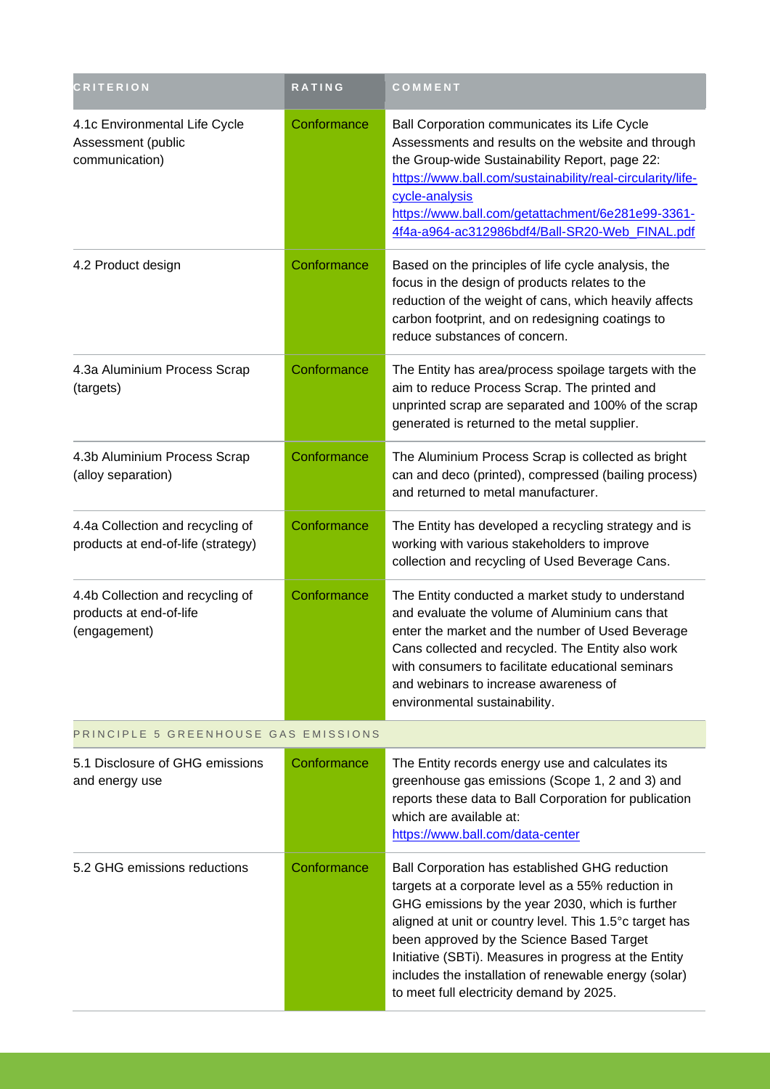| <b>CRITERION</b>                                                            | <b>RATING</b> | COMMENT                                                                                                                                                                                                                                                                                                                                                                                                                        |  |
|-----------------------------------------------------------------------------|---------------|--------------------------------------------------------------------------------------------------------------------------------------------------------------------------------------------------------------------------------------------------------------------------------------------------------------------------------------------------------------------------------------------------------------------------------|--|
| 4.1c Environmental Life Cycle<br>Assessment (public<br>communication)       | Conformance   | Ball Corporation communicates its Life Cycle<br>Assessments and results on the website and through<br>the Group-wide Sustainability Report, page 22:<br>https://www.ball.com/sustainability/real-circularity/life-<br>cycle-analysis<br>https://www.ball.com/getattachment/6e281e99-3361-<br>4f4a-a964-ac312986bdf4/Ball-SR20-Web_FINAL.pdf                                                                                    |  |
| 4.2 Product design                                                          | Conformance   | Based on the principles of life cycle analysis, the<br>focus in the design of products relates to the<br>reduction of the weight of cans, which heavily affects<br>carbon footprint, and on redesigning coatings to<br>reduce substances of concern.                                                                                                                                                                           |  |
| 4.3a Aluminium Process Scrap<br>(targets)                                   | Conformance   | The Entity has area/process spoilage targets with the<br>aim to reduce Process Scrap. The printed and<br>unprinted scrap are separated and 100% of the scrap<br>generated is returned to the metal supplier.                                                                                                                                                                                                                   |  |
| 4.3b Aluminium Process Scrap<br>(alloy separation)                          | Conformance   | The Aluminium Process Scrap is collected as bright<br>can and deco (printed), compressed (bailing process)<br>and returned to metal manufacturer.                                                                                                                                                                                                                                                                              |  |
| 4.4a Collection and recycling of<br>products at end-of-life (strategy)      | Conformance   | The Entity has developed a recycling strategy and is<br>working with various stakeholders to improve<br>collection and recycling of Used Beverage Cans.                                                                                                                                                                                                                                                                        |  |
| 4.4b Collection and recycling of<br>products at end-of-life<br>(engagement) | Conformance   | The Entity conducted a market study to understand<br>and evaluate the volume of Aluminium cans that<br>enter the market and the number of Used Beverage<br>Cans collected and recycled. The Entity also work<br>with consumers to facilitate educational seminars<br>and webinars to increase awareness of<br>environmental sustainability.                                                                                    |  |
| PRINCIPLE 5 GREENHOUSE GAS EMISSIONS                                        |               |                                                                                                                                                                                                                                                                                                                                                                                                                                |  |
| 5.1 Disclosure of GHG emissions<br>and energy use                           | Conformance   | The Entity records energy use and calculates its<br>greenhouse gas emissions (Scope 1, 2 and 3) and<br>reports these data to Ball Corporation for publication<br>which are available at:<br>https://www.ball.com/data-center                                                                                                                                                                                                   |  |
| 5.2 GHG emissions reductions                                                | Conformance   | Ball Corporation has established GHG reduction<br>targets at a corporate level as a 55% reduction in<br>GHG emissions by the year 2030, which is further<br>aligned at unit or country level. This 1.5°c target has<br>been approved by the Science Based Target<br>Initiative (SBTi). Measures in progress at the Entity<br>includes the installation of renewable energy (solar)<br>to meet full electricity demand by 2025. |  |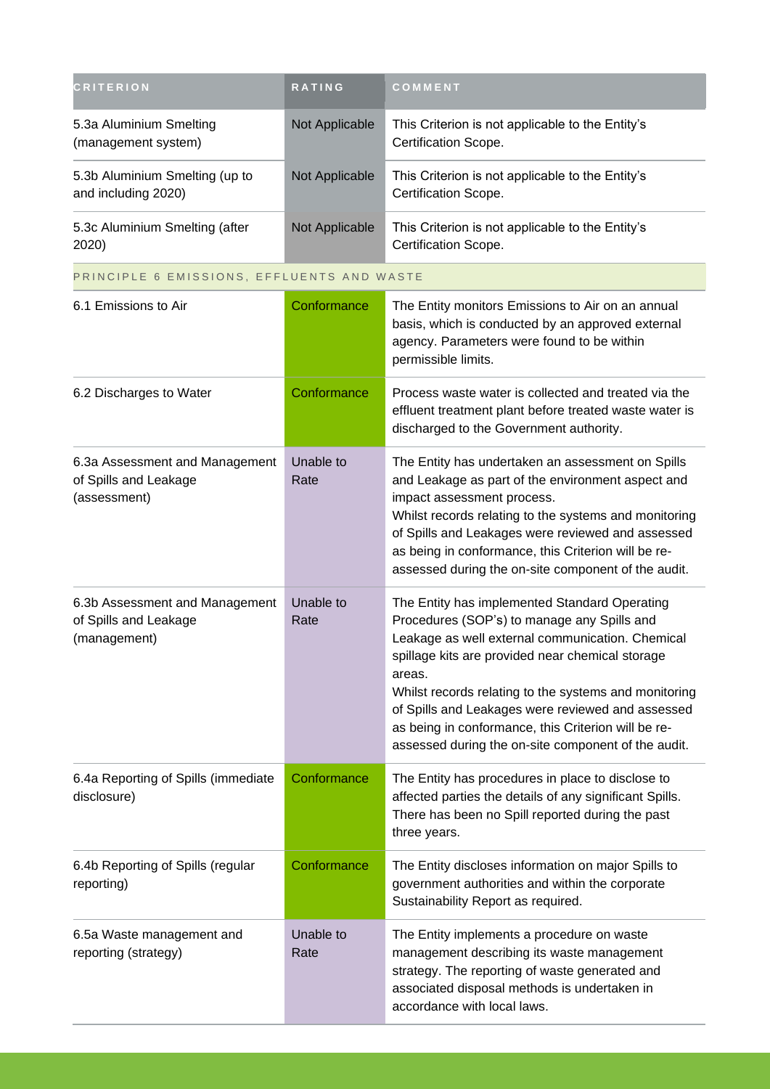| <b>CRITERION</b>                                                        | <b>RATING</b>     | COMMENT                                                                                                                                                                                                                                                                                                                                                                                                                                    |
|-------------------------------------------------------------------------|-------------------|--------------------------------------------------------------------------------------------------------------------------------------------------------------------------------------------------------------------------------------------------------------------------------------------------------------------------------------------------------------------------------------------------------------------------------------------|
| 5.3a Aluminium Smelting<br>(management system)                          | Not Applicable    | This Criterion is not applicable to the Entity's<br>Certification Scope.                                                                                                                                                                                                                                                                                                                                                                   |
| 5.3b Aluminium Smelting (up to<br>and including 2020)                   | Not Applicable    | This Criterion is not applicable to the Entity's<br>Certification Scope.                                                                                                                                                                                                                                                                                                                                                                   |
| 5.3c Aluminium Smelting (after<br>2020)                                 | Not Applicable    | This Criterion is not applicable to the Entity's<br>Certification Scope.                                                                                                                                                                                                                                                                                                                                                                   |
| PRINCIPLE 6 EMISSIONS, EFFLUENTS AND WASTE                              |                   |                                                                                                                                                                                                                                                                                                                                                                                                                                            |
| 6.1 Emissions to Air                                                    | Conformance       | The Entity monitors Emissions to Air on an annual<br>basis, which is conducted by an approved external<br>agency. Parameters were found to be within<br>permissible limits.                                                                                                                                                                                                                                                                |
| 6.2 Discharges to Water                                                 | Conformance       | Process waste water is collected and treated via the<br>effluent treatment plant before treated waste water is<br>discharged to the Government authority.                                                                                                                                                                                                                                                                                  |
| 6.3a Assessment and Management<br>of Spills and Leakage<br>(assessment) | Unable to<br>Rate | The Entity has undertaken an assessment on Spills<br>and Leakage as part of the environment aspect and<br>impact assessment process.<br>Whilst records relating to the systems and monitoring<br>of Spills and Leakages were reviewed and assessed<br>as being in conformance, this Criterion will be re-<br>assessed during the on-site component of the audit.                                                                           |
| 6.3b Assessment and Management<br>of Spills and Leakage<br>(management) | Unable to<br>Rate | The Entity has implemented Standard Operating<br>Procedures (SOP's) to manage any Spills and<br>Leakage as well external communication. Chemical<br>spillage kits are provided near chemical storage<br>areas.<br>Whilst records relating to the systems and monitoring<br>of Spills and Leakages were reviewed and assessed<br>as being in conformance, this Criterion will be re-<br>assessed during the on-site component of the audit. |
| 6.4a Reporting of Spills (immediate<br>disclosure)                      | Conformance       | The Entity has procedures in place to disclose to<br>affected parties the details of any significant Spills.<br>There has been no Spill reported during the past<br>three years.                                                                                                                                                                                                                                                           |
| 6.4b Reporting of Spills (regular<br>reporting)                         | Conformance       | The Entity discloses information on major Spills to<br>government authorities and within the corporate<br>Sustainability Report as required.                                                                                                                                                                                                                                                                                               |
| 6.5a Waste management and<br>reporting (strategy)                       | Unable to<br>Rate | The Entity implements a procedure on waste<br>management describing its waste management<br>strategy. The reporting of waste generated and<br>associated disposal methods is undertaken in<br>accordance with local laws.                                                                                                                                                                                                                  |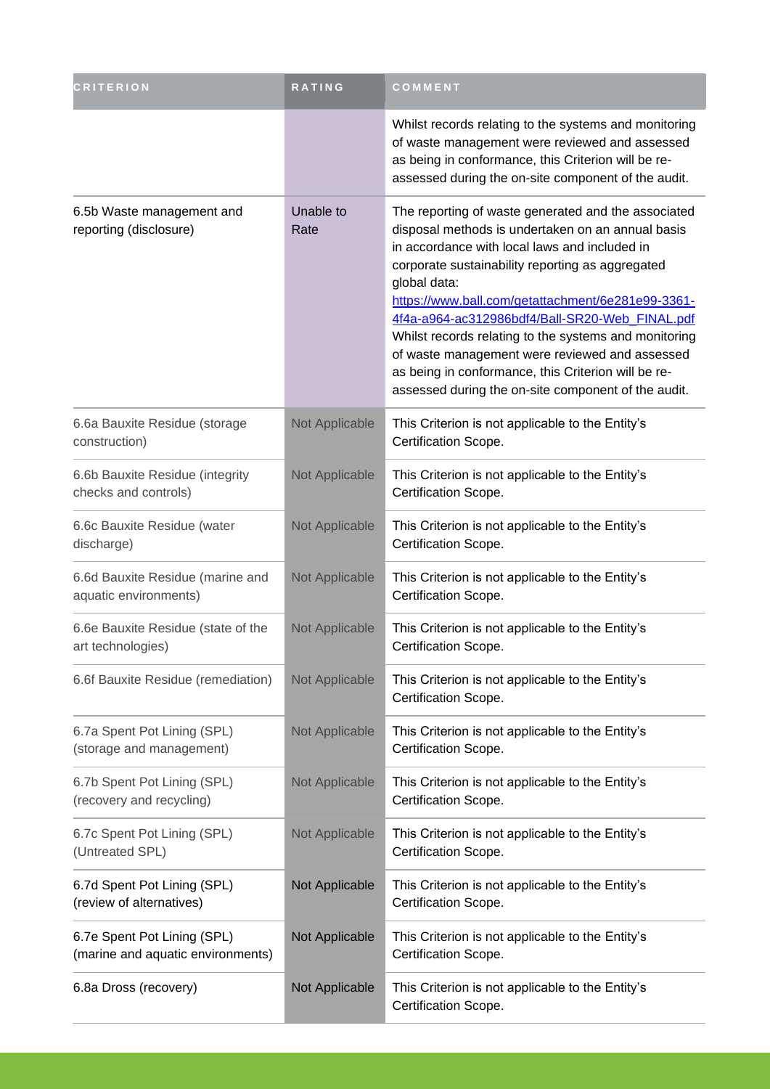| <b>CRITERION</b>                                                 | RATING            | COMMENT                                                                                                                                                                                                                                                                                                                                                                                                                                                                                                                                                       |
|------------------------------------------------------------------|-------------------|---------------------------------------------------------------------------------------------------------------------------------------------------------------------------------------------------------------------------------------------------------------------------------------------------------------------------------------------------------------------------------------------------------------------------------------------------------------------------------------------------------------------------------------------------------------|
|                                                                  |                   | Whilst records relating to the systems and monitoring<br>of waste management were reviewed and assessed<br>as being in conformance, this Criterion will be re-<br>assessed during the on-site component of the audit.                                                                                                                                                                                                                                                                                                                                         |
| 6.5b Waste management and<br>reporting (disclosure)              | Unable to<br>Rate | The reporting of waste generated and the associated<br>disposal methods is undertaken on an annual basis<br>in accordance with local laws and included in<br>corporate sustainability reporting as aggregated<br>global data:<br>https://www.ball.com/getattachment/6e281e99-3361-<br>4f4a-a964-ac312986bdf4/Ball-SR20-Web_FINAL.pdf<br>Whilst records relating to the systems and monitoring<br>of waste management were reviewed and assessed<br>as being in conformance, this Criterion will be re-<br>assessed during the on-site component of the audit. |
| 6.6a Bauxite Residue (storage<br>construction)                   | Not Applicable    | This Criterion is not applicable to the Entity's<br>Certification Scope.                                                                                                                                                                                                                                                                                                                                                                                                                                                                                      |
| 6.6b Bauxite Residue (integrity<br>checks and controls)          | Not Applicable    | This Criterion is not applicable to the Entity's<br>Certification Scope.                                                                                                                                                                                                                                                                                                                                                                                                                                                                                      |
| 6.6c Bauxite Residue (water<br>discharge)                        | Not Applicable    | This Criterion is not applicable to the Entity's<br>Certification Scope.                                                                                                                                                                                                                                                                                                                                                                                                                                                                                      |
| 6.6d Bauxite Residue (marine and<br>aquatic environments)        | Not Applicable    | This Criterion is not applicable to the Entity's<br>Certification Scope.                                                                                                                                                                                                                                                                                                                                                                                                                                                                                      |
| 6.6e Bauxite Residue (state of the<br>art technologies)          | Not Applicable    | This Criterion is not applicable to the Entity's<br>Certification Scope.                                                                                                                                                                                                                                                                                                                                                                                                                                                                                      |
| 6.6f Bauxite Residue (remediation)                               | Not Applicable    | This Criterion is not applicable to the Entity's<br>Certification Scope.                                                                                                                                                                                                                                                                                                                                                                                                                                                                                      |
| 6.7a Spent Pot Lining (SPL)<br>(storage and management)          | Not Applicable    | This Criterion is not applicable to the Entity's<br>Certification Scope.                                                                                                                                                                                                                                                                                                                                                                                                                                                                                      |
| 6.7b Spent Pot Lining (SPL)<br>(recovery and recycling)          | Not Applicable    | This Criterion is not applicable to the Entity's<br>Certification Scope.                                                                                                                                                                                                                                                                                                                                                                                                                                                                                      |
| 6.7c Spent Pot Lining (SPL)<br>(Untreated SPL)                   | Not Applicable    | This Criterion is not applicable to the Entity's<br>Certification Scope.                                                                                                                                                                                                                                                                                                                                                                                                                                                                                      |
| 6.7d Spent Pot Lining (SPL)<br>(review of alternatives)          | Not Applicable    | This Criterion is not applicable to the Entity's<br>Certification Scope.                                                                                                                                                                                                                                                                                                                                                                                                                                                                                      |
| 6.7e Spent Pot Lining (SPL)<br>(marine and aquatic environments) | Not Applicable    | This Criterion is not applicable to the Entity's<br>Certification Scope.                                                                                                                                                                                                                                                                                                                                                                                                                                                                                      |
| 6.8a Dross (recovery)                                            | Not Applicable    | This Criterion is not applicable to the Entity's<br>Certification Scope.                                                                                                                                                                                                                                                                                                                                                                                                                                                                                      |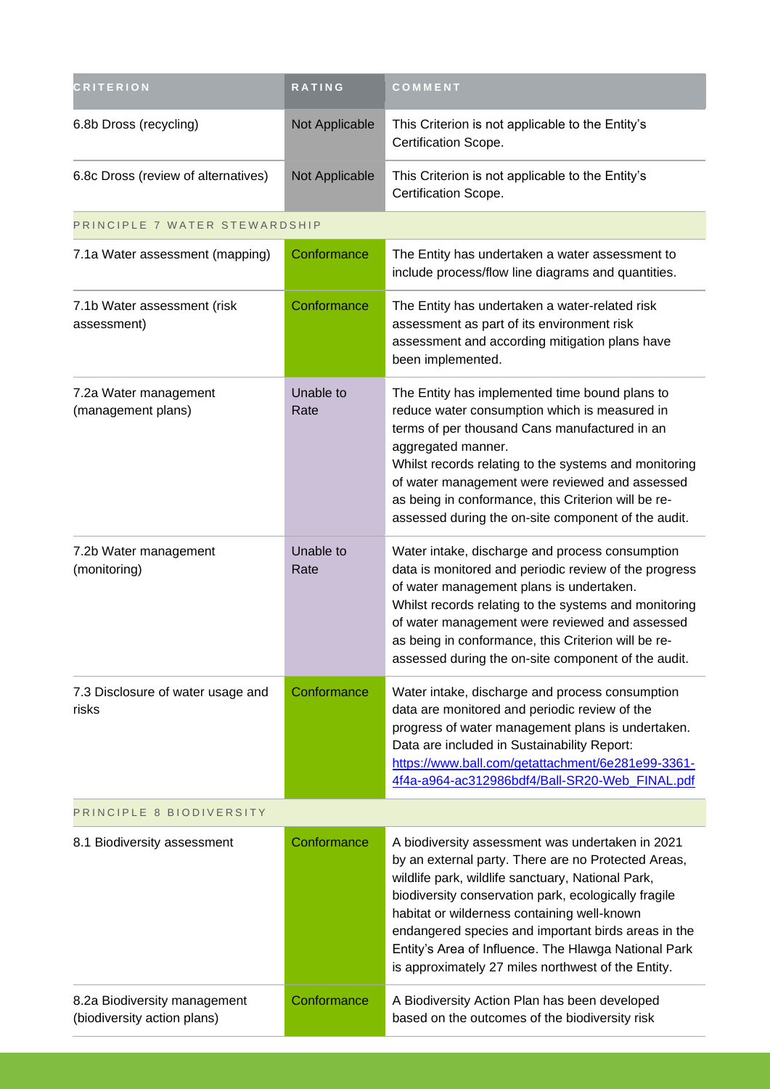| <b>CRITERION</b>                                            | RATING            | COMMENT                                                                                                                                                                                                                                                                                                                                                                                                                                  |  |
|-------------------------------------------------------------|-------------------|------------------------------------------------------------------------------------------------------------------------------------------------------------------------------------------------------------------------------------------------------------------------------------------------------------------------------------------------------------------------------------------------------------------------------------------|--|
| 6.8b Dross (recycling)                                      | Not Applicable    | This Criterion is not applicable to the Entity's<br>Certification Scope.                                                                                                                                                                                                                                                                                                                                                                 |  |
| 6.8c Dross (review of alternatives)                         | Not Applicable    | This Criterion is not applicable to the Entity's<br>Certification Scope.                                                                                                                                                                                                                                                                                                                                                                 |  |
| PRINCIPLE 7 WATER STEWARDSHIP                               |                   |                                                                                                                                                                                                                                                                                                                                                                                                                                          |  |
| 7.1a Water assessment (mapping)                             | Conformance       | The Entity has undertaken a water assessment to<br>include process/flow line diagrams and quantities.                                                                                                                                                                                                                                                                                                                                    |  |
| 7.1b Water assessment (risk<br>assessment)                  | Conformance       | The Entity has undertaken a water-related risk<br>assessment as part of its environment risk<br>assessment and according mitigation plans have<br>been implemented.                                                                                                                                                                                                                                                                      |  |
| 7.2a Water management<br>(management plans)                 | Unable to<br>Rate | The Entity has implemented time bound plans to<br>reduce water consumption which is measured in<br>terms of per thousand Cans manufactured in an<br>aggregated manner.<br>Whilst records relating to the systems and monitoring<br>of water management were reviewed and assessed<br>as being in conformance, this Criterion will be re-<br>assessed during the on-site component of the audit.                                          |  |
| 7.2b Water management<br>(monitoring)                       | Unable to<br>Rate | Water intake, discharge and process consumption<br>data is monitored and periodic review of the progress<br>of water management plans is undertaken.<br>Whilst records relating to the systems and monitoring<br>of water management were reviewed and assessed<br>as being in conformance, this Criterion will be re-<br>assessed during the on-site component of the audit.                                                            |  |
| 7.3 Disclosure of water usage and<br>risks                  | Conformance       | Water intake, discharge and process consumption<br>data are monitored and periodic review of the<br>progress of water management plans is undertaken.<br>Data are included in Sustainability Report:<br>https://www.ball.com/getattachment/6e281e99-3361-<br>4f4a-a964-ac312986bdf4/Ball-SR20-Web_FINAL.pdf                                                                                                                              |  |
| PRINCIPLE 8 BIODIVERSITY                                    |                   |                                                                                                                                                                                                                                                                                                                                                                                                                                          |  |
| 8.1 Biodiversity assessment                                 | Conformance       | A biodiversity assessment was undertaken in 2021<br>by an external party. There are no Protected Areas,<br>wildlife park, wildlife sanctuary, National Park,<br>biodiversity conservation park, ecologically fragile<br>habitat or wilderness containing well-known<br>endangered species and important birds areas in the<br>Entity's Area of Influence. The Hlawga National Park<br>is approximately 27 miles northwest of the Entity. |  |
| 8.2a Biodiversity management<br>(biodiversity action plans) | Conformance       | A Biodiversity Action Plan has been developed<br>based on the outcomes of the biodiversity risk                                                                                                                                                                                                                                                                                                                                          |  |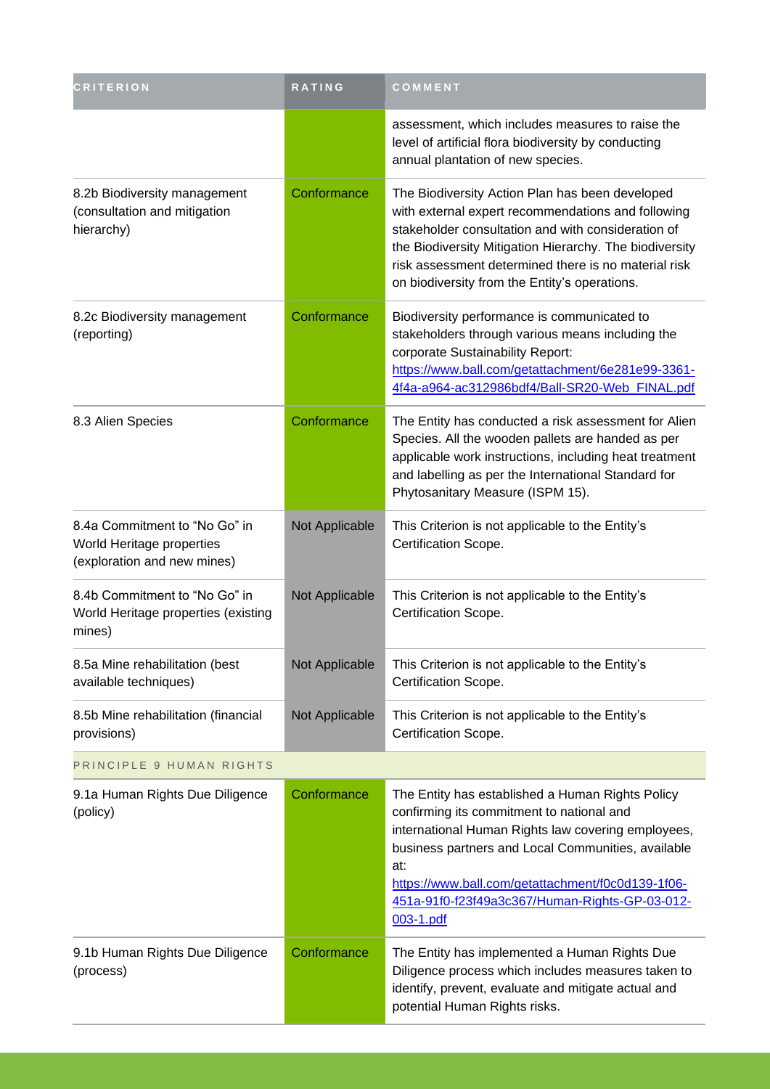| <b>CRITERION</b>                                                                          | RATING         | COMMENT                                                                                                                                                                                                                                                                                                                              |
|-------------------------------------------------------------------------------------------|----------------|--------------------------------------------------------------------------------------------------------------------------------------------------------------------------------------------------------------------------------------------------------------------------------------------------------------------------------------|
|                                                                                           |                | assessment, which includes measures to raise the<br>level of artificial flora biodiversity by conducting<br>annual plantation of new species.                                                                                                                                                                                        |
| 8.2b Biodiversity management<br>(consultation and mitigation<br>hierarchy)                | Conformance    | The Biodiversity Action Plan has been developed<br>with external expert recommendations and following<br>stakeholder consultation and with consideration of<br>the Biodiversity Mitigation Hierarchy. The biodiversity<br>risk assessment determined there is no material risk<br>on biodiversity from the Entity's operations.      |
| 8.2c Biodiversity management<br>(reporting)                                               | Conformance    | Biodiversity performance is communicated to<br>stakeholders through various means including the<br>corporate Sustainability Report:<br>https://www.ball.com/getattachment/6e281e99-3361-<br>4f4a-a964-ac312986bdf4/Ball-SR20-Web FINAL.pdf                                                                                           |
| 8.3 Alien Species                                                                         | Conformance    | The Entity has conducted a risk assessment for Alien<br>Species. All the wooden pallets are handed as per<br>applicable work instructions, including heat treatment<br>and labelling as per the International Standard for<br>Phytosanitary Measure (ISPM 15).                                                                       |
| 8.4a Commitment to "No Go" in<br>World Heritage properties<br>(exploration and new mines) | Not Applicable | This Criterion is not applicable to the Entity's<br>Certification Scope.                                                                                                                                                                                                                                                             |
| 8.4b Commitment to "No Go" in<br>World Heritage properties (existing<br>mines)            | Not Applicable | This Criterion is not applicable to the Entity's<br>Certification Scope.                                                                                                                                                                                                                                                             |
| 8.5a Mine rehabilitation (best<br>available techniques)                                   | Not Applicable | This Criterion is not applicable to the Entity's<br>Certification Scope.                                                                                                                                                                                                                                                             |
| 8.5b Mine rehabilitation (financial<br>provisions)                                        | Not Applicable | This Criterion is not applicable to the Entity's<br>Certification Scope.                                                                                                                                                                                                                                                             |
| PRINCIPLE 9 HUMAN RIGHTS                                                                  |                |                                                                                                                                                                                                                                                                                                                                      |
| 9.1a Human Rights Due Diligence<br>(policy)                                               | Conformance    | The Entity has established a Human Rights Policy<br>confirming its commitment to national and<br>international Human Rights law covering employees,<br>business partners and Local Communities, available<br>at:<br>https://www.ball.com/getattachment/f0c0d139-1f06-<br>451a-91f0-f23f49a3c367/Human-Rights-GP-03-012-<br>003-1.pdf |
| 9.1b Human Rights Due Diligence<br>(process)                                              | Conformance    | The Entity has implemented a Human Rights Due<br>Diligence process which includes measures taken to<br>identify, prevent, evaluate and mitigate actual and<br>potential Human Rights risks.                                                                                                                                          |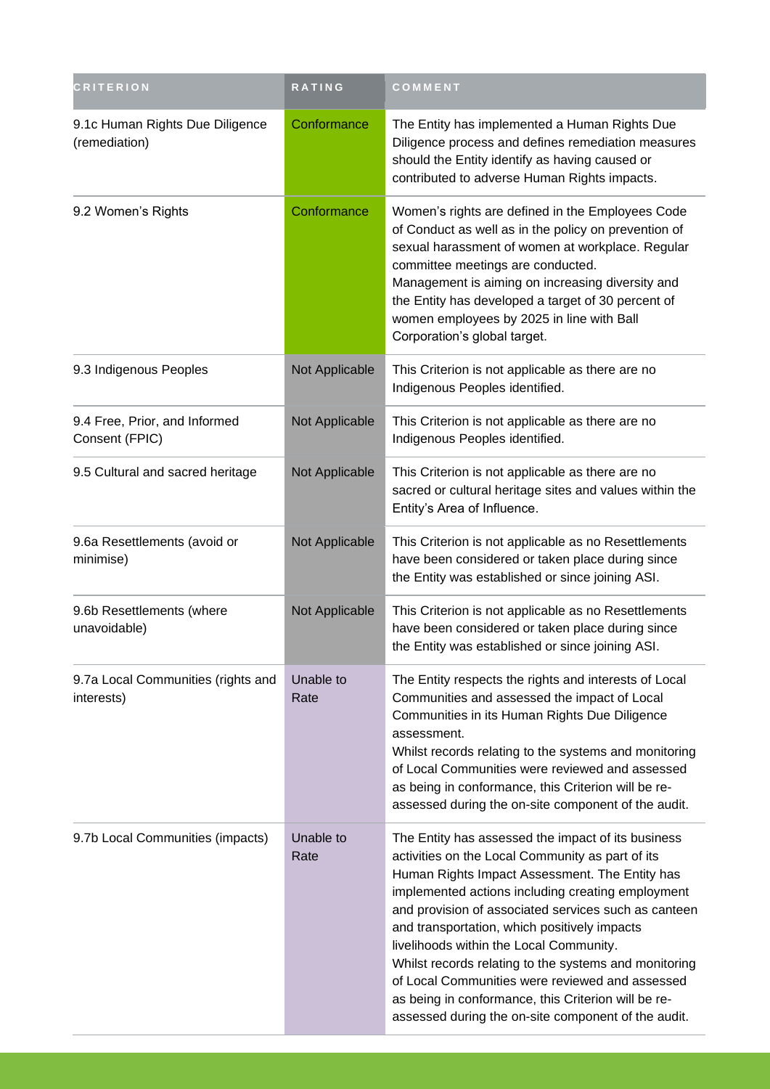| <b>CRITERION</b>                                 | RATING            | COMMENT                                                                                                                                                                                                                                                                                                                                                                                                                                                                                                                                                                                    |
|--------------------------------------------------|-------------------|--------------------------------------------------------------------------------------------------------------------------------------------------------------------------------------------------------------------------------------------------------------------------------------------------------------------------------------------------------------------------------------------------------------------------------------------------------------------------------------------------------------------------------------------------------------------------------------------|
| 9.1c Human Rights Due Diligence<br>(remediation) | Conformance       | The Entity has implemented a Human Rights Due<br>Diligence process and defines remediation measures<br>should the Entity identify as having caused or<br>contributed to adverse Human Rights impacts.                                                                                                                                                                                                                                                                                                                                                                                      |
| 9.2 Women's Rights                               | Conformance       | Women's rights are defined in the Employees Code<br>of Conduct as well as in the policy on prevention of<br>sexual harassment of women at workplace. Regular<br>committee meetings are conducted.<br>Management is aiming on increasing diversity and<br>the Entity has developed a target of 30 percent of<br>women employees by 2025 in line with Ball<br>Corporation's global target.                                                                                                                                                                                                   |
| 9.3 Indigenous Peoples                           | Not Applicable    | This Criterion is not applicable as there are no<br>Indigenous Peoples identified.                                                                                                                                                                                                                                                                                                                                                                                                                                                                                                         |
| 9.4 Free, Prior, and Informed<br>Consent (FPIC)  | Not Applicable    | This Criterion is not applicable as there are no<br>Indigenous Peoples identified.                                                                                                                                                                                                                                                                                                                                                                                                                                                                                                         |
| 9.5 Cultural and sacred heritage                 | Not Applicable    | This Criterion is not applicable as there are no<br>sacred or cultural heritage sites and values within the<br>Entity's Area of Influence.                                                                                                                                                                                                                                                                                                                                                                                                                                                 |
| 9.6a Resettlements (avoid or<br>minimise)        | Not Applicable    | This Criterion is not applicable as no Resettlements<br>have been considered or taken place during since<br>the Entity was established or since joining ASI.                                                                                                                                                                                                                                                                                                                                                                                                                               |
| 9.6b Resettlements (where<br>unavoidable)        | Not Applicable    | This Criterion is not applicable as no Resettlements<br>have been considered or taken place during since<br>the Entity was established or since joining ASI.                                                                                                                                                                                                                                                                                                                                                                                                                               |
| 9.7a Local Communities (rights and<br>interests) | Unable to<br>Rate | The Entity respects the rights and interests of Local<br>Communities and assessed the impact of Local<br>Communities in its Human Rights Due Diligence<br>assessment.<br>Whilst records relating to the systems and monitoring<br>of Local Communities were reviewed and assessed<br>as being in conformance, this Criterion will be re-<br>assessed during the on-site component of the audit.                                                                                                                                                                                            |
| 9.7b Local Communities (impacts)                 | Unable to<br>Rate | The Entity has assessed the impact of its business<br>activities on the Local Community as part of its<br>Human Rights Impact Assessment. The Entity has<br>implemented actions including creating employment<br>and provision of associated services such as canteen<br>and transportation, which positively impacts<br>livelihoods within the Local Community.<br>Whilst records relating to the systems and monitoring<br>of Local Communities were reviewed and assessed<br>as being in conformance, this Criterion will be re-<br>assessed during the on-site component of the audit. |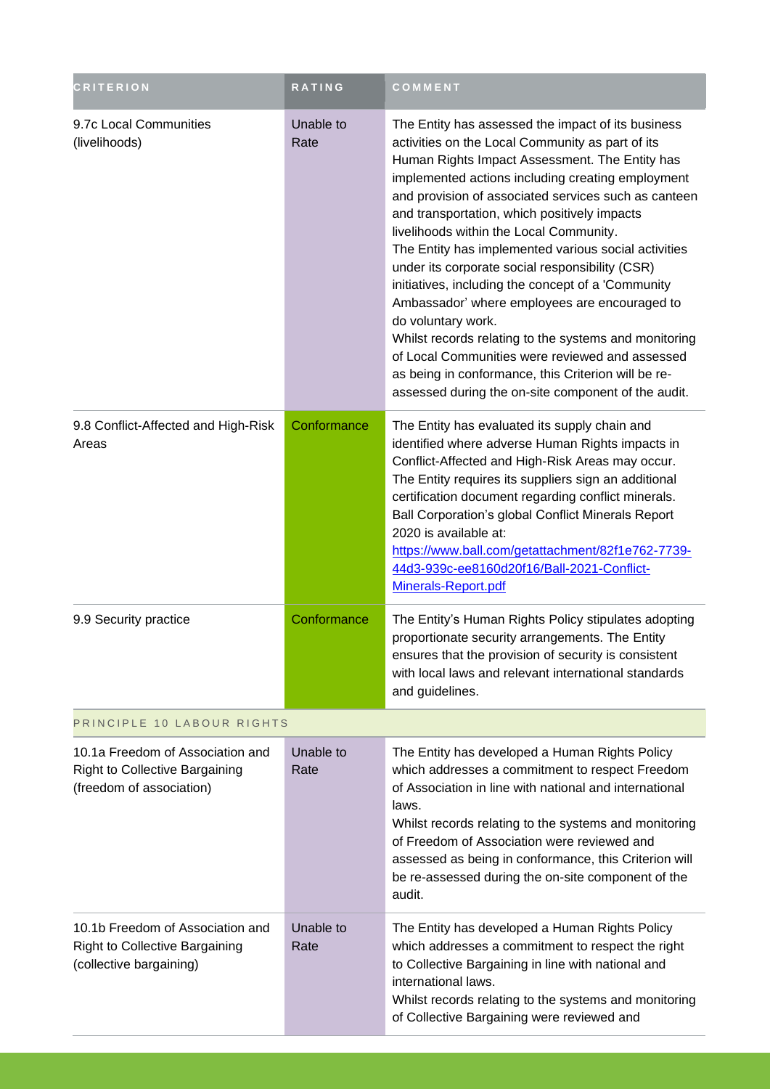| <b>CRITERION</b>                                                                                      | RATING            | COMMENT                                                                                                                                                                                                                                                                                                                                                                                                                                                                                                                                                                                                                                                                                                                                                                                                                            |
|-------------------------------------------------------------------------------------------------------|-------------------|------------------------------------------------------------------------------------------------------------------------------------------------------------------------------------------------------------------------------------------------------------------------------------------------------------------------------------------------------------------------------------------------------------------------------------------------------------------------------------------------------------------------------------------------------------------------------------------------------------------------------------------------------------------------------------------------------------------------------------------------------------------------------------------------------------------------------------|
| 9.7c Local Communities<br>(livelihoods)                                                               | Unable to<br>Rate | The Entity has assessed the impact of its business<br>activities on the Local Community as part of its<br>Human Rights Impact Assessment. The Entity has<br>implemented actions including creating employment<br>and provision of associated services such as canteen<br>and transportation, which positively impacts<br>livelihoods within the Local Community.<br>The Entity has implemented various social activities<br>under its corporate social responsibility (CSR)<br>initiatives, including the concept of a 'Community<br>Ambassador' where employees are encouraged to<br>do voluntary work.<br>Whilst records relating to the systems and monitoring<br>of Local Communities were reviewed and assessed<br>as being in conformance, this Criterion will be re-<br>assessed during the on-site component of the audit. |
| 9.8 Conflict-Affected and High-Risk<br>Areas                                                          | Conformance       | The Entity has evaluated its supply chain and<br>identified where adverse Human Rights impacts in<br>Conflict-Affected and High-Risk Areas may occur.<br>The Entity requires its suppliers sign an additional<br>certification document regarding conflict minerals.<br>Ball Corporation's global Conflict Minerals Report<br>2020 is available at:<br>https://www.ball.com/getattachment/82f1e762-7739-<br>44d3-939c-ee8160d20f16/Ball-2021-Conflict-<br>Minerals-Report.pdf                                                                                                                                                                                                                                                                                                                                                      |
| 9.9 Security practice                                                                                 | Conformance       | The Entity's Human Rights Policy stipulates adopting<br>proportionate security arrangements. The Entity<br>ensures that the provision of security is consistent<br>with local laws and relevant international standards<br>and guidelines.                                                                                                                                                                                                                                                                                                                                                                                                                                                                                                                                                                                         |
| PRINCIPLE 10 LABOUR RIGHTS                                                                            |                   |                                                                                                                                                                                                                                                                                                                                                                                                                                                                                                                                                                                                                                                                                                                                                                                                                                    |
| 10.1a Freedom of Association and<br><b>Right to Collective Bargaining</b><br>(freedom of association) | Unable to<br>Rate | The Entity has developed a Human Rights Policy<br>which addresses a commitment to respect Freedom<br>of Association in line with national and international<br>laws.<br>Whilst records relating to the systems and monitoring<br>of Freedom of Association were reviewed and<br>assessed as being in conformance, this Criterion will<br>be re-assessed during the on-site component of the<br>audit.                                                                                                                                                                                                                                                                                                                                                                                                                              |
| 10.1b Freedom of Association and<br><b>Right to Collective Bargaining</b><br>(collective bargaining)  | Unable to<br>Rate | The Entity has developed a Human Rights Policy<br>which addresses a commitment to respect the right<br>to Collective Bargaining in line with national and<br>international laws.<br>Whilst records relating to the systems and monitoring<br>of Collective Bargaining were reviewed and                                                                                                                                                                                                                                                                                                                                                                                                                                                                                                                                            |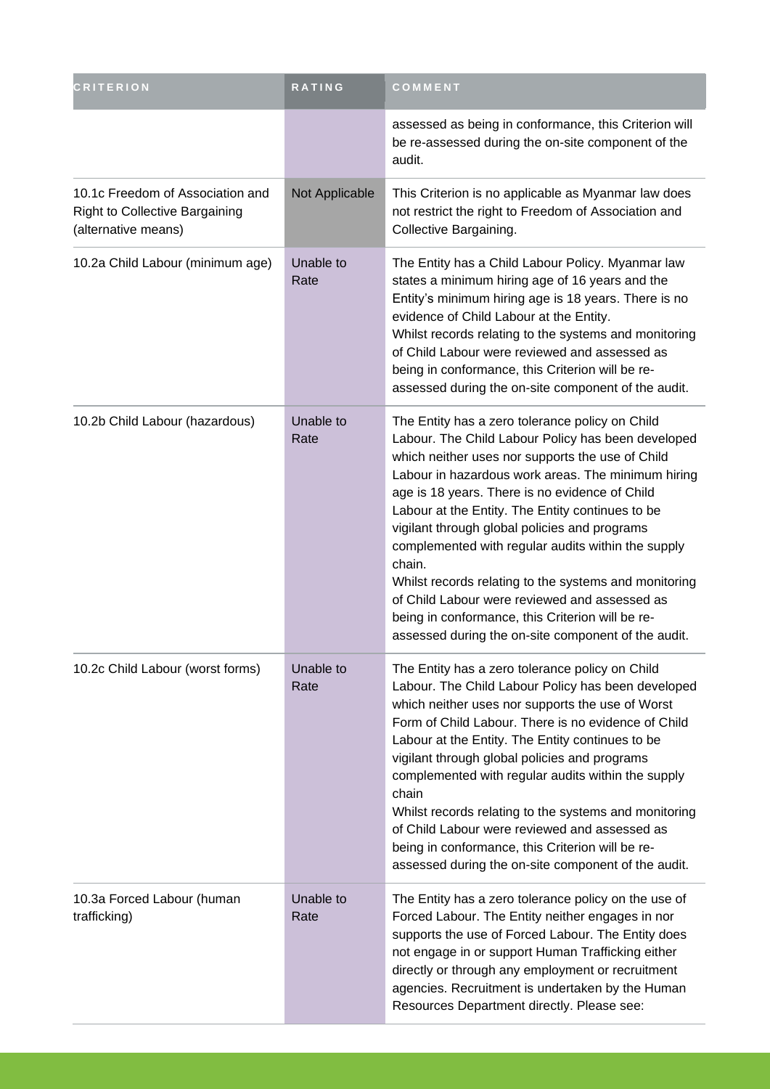| <b>CRITERION</b>                                                                          | RATING            | COMMENT                                                                                                                                                                                                                                                                                                                                                                                                                                                                                                                                                                                                                                                     |
|-------------------------------------------------------------------------------------------|-------------------|-------------------------------------------------------------------------------------------------------------------------------------------------------------------------------------------------------------------------------------------------------------------------------------------------------------------------------------------------------------------------------------------------------------------------------------------------------------------------------------------------------------------------------------------------------------------------------------------------------------------------------------------------------------|
|                                                                                           |                   | assessed as being in conformance, this Criterion will<br>be re-assessed during the on-site component of the<br>audit.                                                                                                                                                                                                                                                                                                                                                                                                                                                                                                                                       |
| 10.1c Freedom of Association and<br>Right to Collective Bargaining<br>(alternative means) | Not Applicable    | This Criterion is no applicable as Myanmar law does<br>not restrict the right to Freedom of Association and<br>Collective Bargaining.                                                                                                                                                                                                                                                                                                                                                                                                                                                                                                                       |
| 10.2a Child Labour (minimum age)                                                          | Unable to<br>Rate | The Entity has a Child Labour Policy. Myanmar law<br>states a minimum hiring age of 16 years and the<br>Entity's minimum hiring age is 18 years. There is no<br>evidence of Child Labour at the Entity.<br>Whilst records relating to the systems and monitoring<br>of Child Labour were reviewed and assessed as<br>being in conformance, this Criterion will be re-<br>assessed during the on-site component of the audit.                                                                                                                                                                                                                                |
| 10.2b Child Labour (hazardous)                                                            | Unable to<br>Rate | The Entity has a zero tolerance policy on Child<br>Labour. The Child Labour Policy has been developed<br>which neither uses nor supports the use of Child<br>Labour in hazardous work areas. The minimum hiring<br>age is 18 years. There is no evidence of Child<br>Labour at the Entity. The Entity continues to be<br>vigilant through global policies and programs<br>complemented with regular audits within the supply<br>chain.<br>Whilst records relating to the systems and monitoring<br>of Child Labour were reviewed and assessed as<br>being in conformance, this Criterion will be re-<br>assessed during the on-site component of the audit. |
| 10.2c Child Labour (worst forms)                                                          | Unable to<br>Rate | The Entity has a zero tolerance policy on Child<br>Labour. The Child Labour Policy has been developed<br>which neither uses nor supports the use of Worst<br>Form of Child Labour. There is no evidence of Child<br>Labour at the Entity. The Entity continues to be<br>vigilant through global policies and programs<br>complemented with regular audits within the supply<br>chain<br>Whilst records relating to the systems and monitoring<br>of Child Labour were reviewed and assessed as<br>being in conformance, this Criterion will be re-<br>assessed during the on-site component of the audit.                                                   |
| 10.3a Forced Labour (human<br>trafficking)                                                | Unable to<br>Rate | The Entity has a zero tolerance policy on the use of<br>Forced Labour. The Entity neither engages in nor<br>supports the use of Forced Labour. The Entity does<br>not engage in or support Human Trafficking either<br>directly or through any employment or recruitment<br>agencies. Recruitment is undertaken by the Human<br>Resources Department directly. Please see:                                                                                                                                                                                                                                                                                  |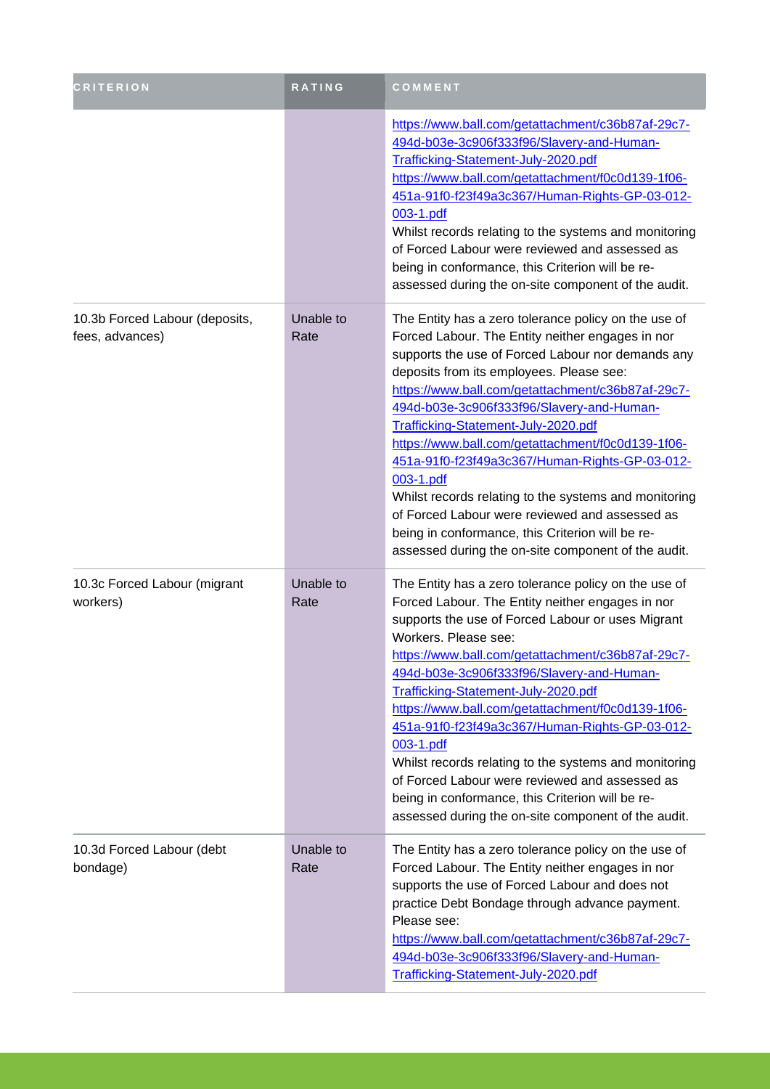| <b>CRITERION</b>                                  | <b>RATING</b>     | COMMENT                                                                                                                                                                                                                                                                                                                                                                                                                                                                                                                                                                                                                                                                                      |
|---------------------------------------------------|-------------------|----------------------------------------------------------------------------------------------------------------------------------------------------------------------------------------------------------------------------------------------------------------------------------------------------------------------------------------------------------------------------------------------------------------------------------------------------------------------------------------------------------------------------------------------------------------------------------------------------------------------------------------------------------------------------------------------|
|                                                   |                   | https://www.ball.com/getattachment/c36b87af-29c7-<br>494d-b03e-3c906f333f96/Slavery-and-Human-<br>Trafficking-Statement-July-2020.pdf<br>https://www.ball.com/getattachment/f0c0d139-1f06-<br>451a-91f0-f23f49a3c367/Human-Rights-GP-03-012-<br>003-1.pdf<br>Whilst records relating to the systems and monitoring<br>of Forced Labour were reviewed and assessed as<br>being in conformance, this Criterion will be re-<br>assessed during the on-site component of the audit.                                                                                                                                                                                                              |
| 10.3b Forced Labour (deposits,<br>fees, advances) | Unable to<br>Rate | The Entity has a zero tolerance policy on the use of<br>Forced Labour. The Entity neither engages in nor<br>supports the use of Forced Labour nor demands any<br>deposits from its employees. Please see:<br>https://www.ball.com/getattachment/c36b87af-29c7-<br>494d-b03e-3c906f333f96/Slavery-and-Human-<br>Trafficking-Statement-July-2020.pdf<br>https://www.ball.com/getattachment/f0c0d139-1f06-<br>451a-91f0-f23f49a3c367/Human-Rights-GP-03-012-<br>003-1.pdf<br>Whilst records relating to the systems and monitoring<br>of Forced Labour were reviewed and assessed as<br>being in conformance, this Criterion will be re-<br>assessed during the on-site component of the audit. |
| 10.3c Forced Labour (migrant<br>workers)          | Unable to<br>Rate | The Entity has a zero tolerance policy on the use of<br>Forced Labour. The Entity neither engages in nor<br>supports the use of Forced Labour or uses Migrant<br>Workers. Please see:<br>https://www.ball.com/getattachment/c36b87af-29c7-<br>494d-b03e-3c906f333f96/Slavery-and-Human-<br>Trafficking-Statement-July-2020.pdf<br>https://www.ball.com/getattachment/f0c0d139-1f06-<br>451a-91f0-f23f49a3c367/Human-Rights-GP-03-012-<br>003-1.pdf<br>Whilst records relating to the systems and monitoring<br>of Forced Labour were reviewed and assessed as<br>being in conformance, this Criterion will be re-<br>assessed during the on-site component of the audit.                     |
| 10.3d Forced Labour (debt<br>bondage)             | Unable to<br>Rate | The Entity has a zero tolerance policy on the use of<br>Forced Labour. The Entity neither engages in nor<br>supports the use of Forced Labour and does not<br>practice Debt Bondage through advance payment.<br>Please see:<br>https://www.ball.com/getattachment/c36b87af-29c7-<br>494d-b03e-3c906f333f96/Slavery-and-Human-<br>Trafficking-Statement-July-2020.pdf                                                                                                                                                                                                                                                                                                                         |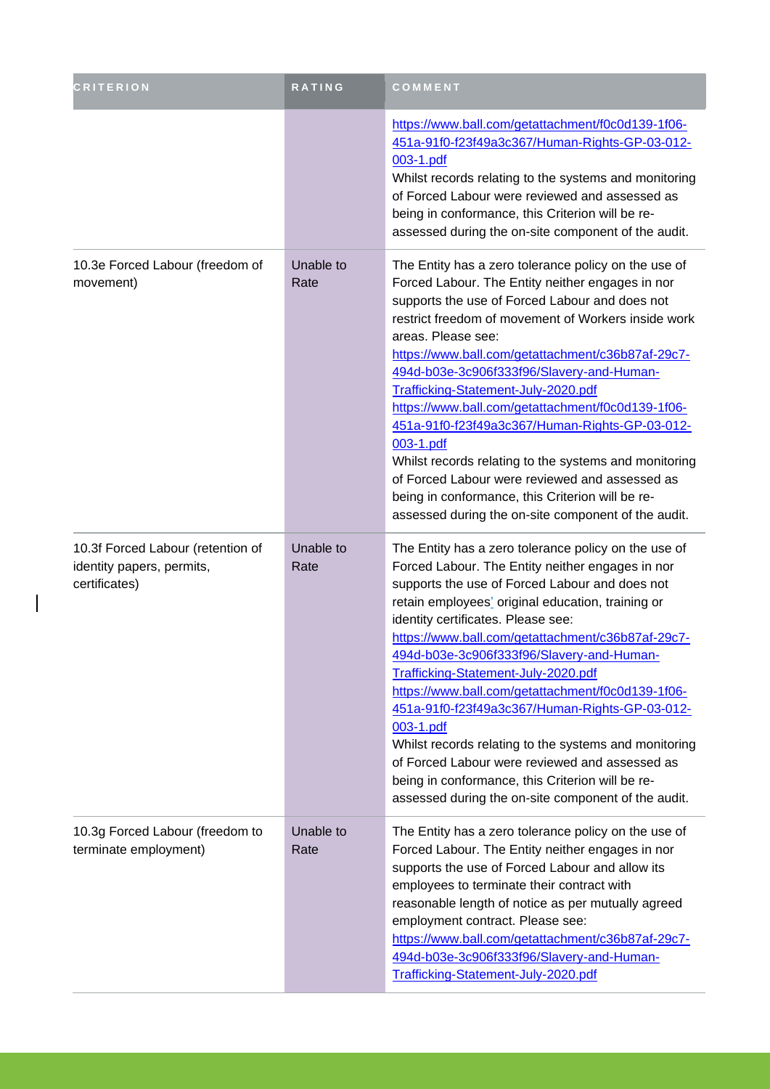| <b>CRITERION</b>                                                                | <b>RATING</b>     | COMMENT                                                                                                                                                                                                                                                                                                                                                                                                                                                                                                                                                                                                                                                                                                                                  |
|---------------------------------------------------------------------------------|-------------------|------------------------------------------------------------------------------------------------------------------------------------------------------------------------------------------------------------------------------------------------------------------------------------------------------------------------------------------------------------------------------------------------------------------------------------------------------------------------------------------------------------------------------------------------------------------------------------------------------------------------------------------------------------------------------------------------------------------------------------------|
|                                                                                 |                   | https://www.ball.com/getattachment/f0c0d139-1f06-<br>451a-91f0-f23f49a3c367/Human-Rights-GP-03-012-<br>003-1.pdf<br>Whilst records relating to the systems and monitoring<br>of Forced Labour were reviewed and assessed as<br>being in conformance, this Criterion will be re-<br>assessed during the on-site component of the audit.                                                                                                                                                                                                                                                                                                                                                                                                   |
| 10.3e Forced Labour (freedom of<br>movement)                                    | Unable to<br>Rate | The Entity has a zero tolerance policy on the use of<br>Forced Labour. The Entity neither engages in nor<br>supports the use of Forced Labour and does not<br>restrict freedom of movement of Workers inside work<br>areas. Please see:<br>https://www.ball.com/getattachment/c36b87af-29c7-<br>494d-b03e-3c906f333f96/Slavery-and-Human-<br>Trafficking-Statement-July-2020.pdf<br>https://www.ball.com/getattachment/f0c0d139-1f06-<br>451a-91f0-f23f49a3c367/Human-Rights-GP-03-012-<br>003-1.pdf<br>Whilst records relating to the systems and monitoring<br>of Forced Labour were reviewed and assessed as<br>being in conformance, this Criterion will be re-<br>assessed during the on-site component of the audit.               |
| 10.3f Forced Labour (retention of<br>identity papers, permits,<br>certificates) | Unable to<br>Rate | The Entity has a zero tolerance policy on the use of<br>Forced Labour. The Entity neither engages in nor<br>supports the use of Forced Labour and does not<br>retain employees' original education, training or<br>identity certificates. Please see:<br>https://www.ball.com/getattachment/c36b87af-29c7-<br>494d-b03e-3c906f333f96/Slavery-and-Human-<br>Trafficking-Statement-July-2020.pdf<br>https://www.ball.com/getattachment/f0c0d139-1f06-<br>451a-91f0-f23f49a3c367/Human-Rights-GP-03-012-<br>003-1.pdf<br>Whilst records relating to the systems and monitoring<br>of Forced Labour were reviewed and assessed as<br>being in conformance, this Criterion will be re-<br>assessed during the on-site component of the audit. |
| 10.3g Forced Labour (freedom to<br>terminate employment)                        | Unable to<br>Rate | The Entity has a zero tolerance policy on the use of<br>Forced Labour. The Entity neither engages in nor<br>supports the use of Forced Labour and allow its<br>employees to terminate their contract with<br>reasonable length of notice as per mutually agreed<br>employment contract. Please see:<br>https://www.ball.com/getattachment/c36b87af-29c7-<br>494d-b03e-3c906f333f96/Slavery-and-Human-<br>Trafficking-Statement-July-2020.pdf                                                                                                                                                                                                                                                                                             |

 $\overline{\phantom{a}}$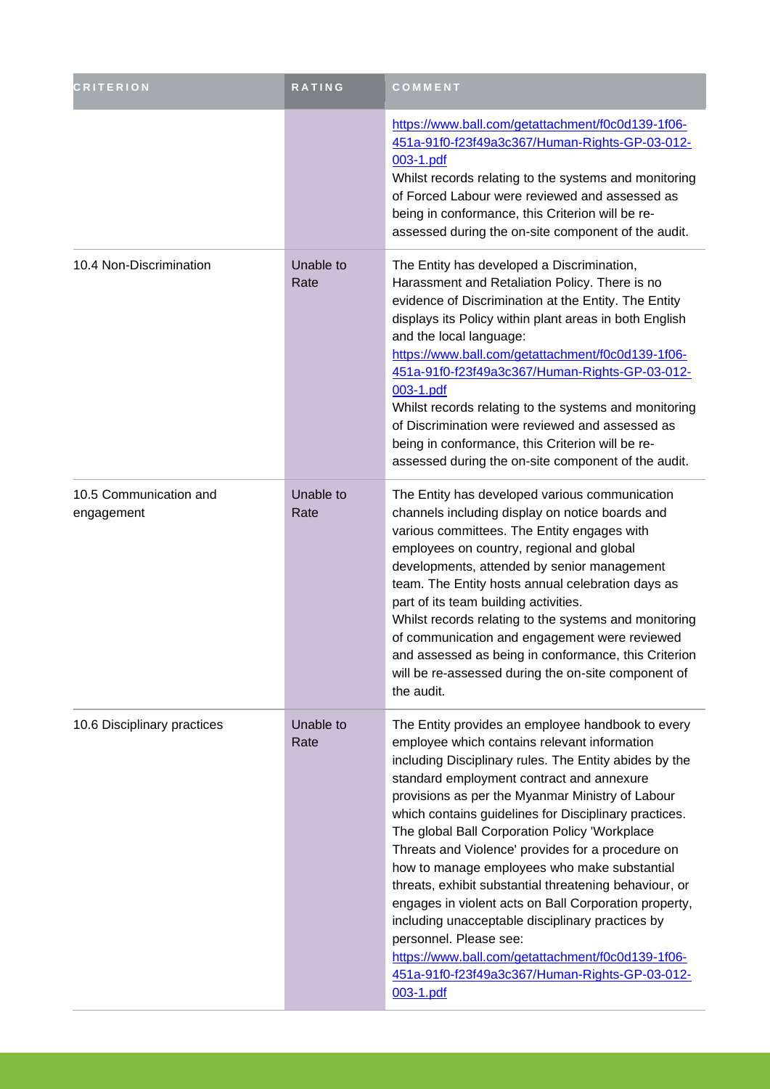| <b>CRITERION</b>                     | RATING            | COMMENT                                                                                                                                                                                                                                                                                                                                                                                                                                                                                                                                                                                                                                                                                                                                                                                          |
|--------------------------------------|-------------------|--------------------------------------------------------------------------------------------------------------------------------------------------------------------------------------------------------------------------------------------------------------------------------------------------------------------------------------------------------------------------------------------------------------------------------------------------------------------------------------------------------------------------------------------------------------------------------------------------------------------------------------------------------------------------------------------------------------------------------------------------------------------------------------------------|
|                                      |                   | https://www.ball.com/getattachment/f0c0d139-1f06-<br>451a-91f0-f23f49a3c367/Human-Rights-GP-03-012-<br>003-1.pdf<br>Whilst records relating to the systems and monitoring<br>of Forced Labour were reviewed and assessed as<br>being in conformance, this Criterion will be re-<br>assessed during the on-site component of the audit.                                                                                                                                                                                                                                                                                                                                                                                                                                                           |
| 10.4 Non-Discrimination              | Unable to<br>Rate | The Entity has developed a Discrimination,<br>Harassment and Retaliation Policy. There is no<br>evidence of Discrimination at the Entity. The Entity<br>displays its Policy within plant areas in both English<br>and the local language:<br>https://www.ball.com/getattachment/f0c0d139-1f06-<br>451a-91f0-f23f49a3c367/Human-Rights-GP-03-012-<br>003-1.pdf<br>Whilst records relating to the systems and monitoring<br>of Discrimination were reviewed and assessed as<br>being in conformance, this Criterion will be re-<br>assessed during the on-site component of the audit.                                                                                                                                                                                                             |
| 10.5 Communication and<br>engagement | Unable to<br>Rate | The Entity has developed various communication<br>channels including display on notice boards and<br>various committees. The Entity engages with<br>employees on country, regional and global<br>developments, attended by senior management<br>team. The Entity hosts annual celebration days as<br>part of its team building activities.<br>Whilst records relating to the systems and monitoring<br>of communication and engagement were reviewed<br>and assessed as being in conformance, this Criterion<br>will be re-assessed during the on-site component of<br>the audit.                                                                                                                                                                                                                |
| 10.6 Disciplinary practices          | Unable to<br>Rate | The Entity provides an employee handbook to every<br>employee which contains relevant information<br>including Disciplinary rules. The Entity abides by the<br>standard employment contract and annexure<br>provisions as per the Myanmar Ministry of Labour<br>which contains guidelines for Disciplinary practices.<br>The global Ball Corporation Policy 'Workplace<br>Threats and Violence' provides for a procedure on<br>how to manage employees who make substantial<br>threats, exhibit substantial threatening behaviour, or<br>engages in violent acts on Ball Corporation property,<br>including unacceptable disciplinary practices by<br>personnel. Please see:<br>https://www.ball.com/getattachment/f0c0d139-1f06-<br>451a-91f0-f23f49a3c367/Human-Rights-GP-03-012-<br>003-1.pdf |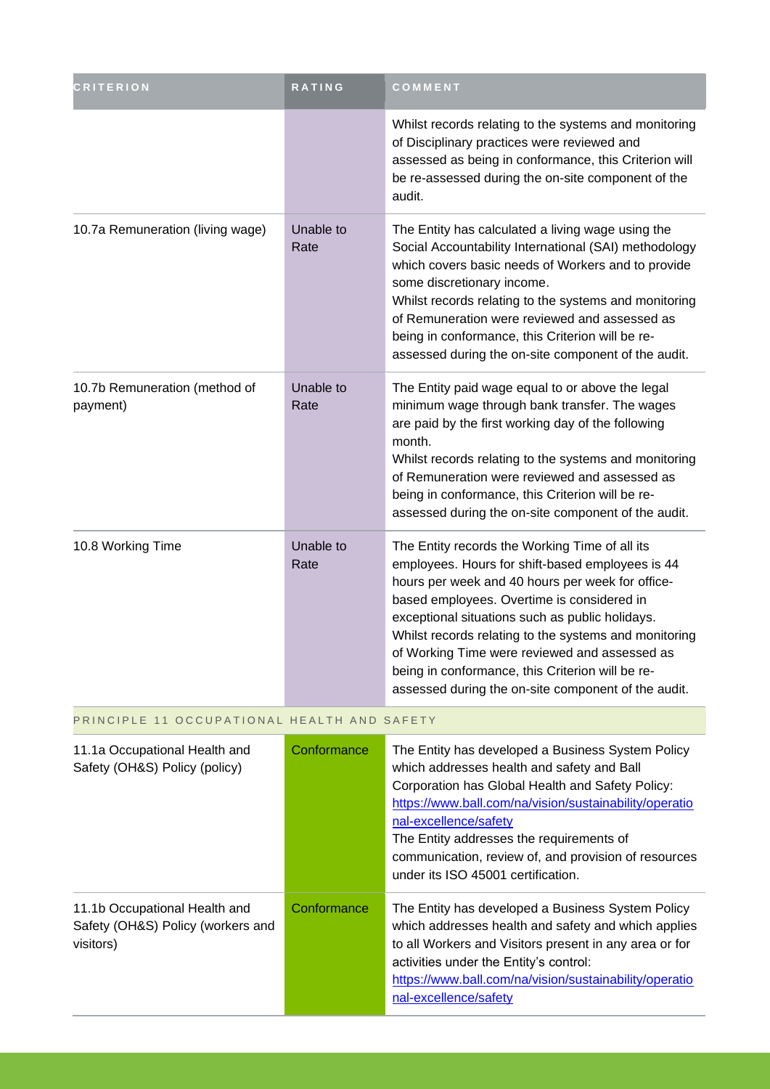| <b>CRITERION</b>                                               | <b>RATING</b>     | COMMENT                                                                                                                                                                                                                                                                                                                                                                                                                                                                      |
|----------------------------------------------------------------|-------------------|------------------------------------------------------------------------------------------------------------------------------------------------------------------------------------------------------------------------------------------------------------------------------------------------------------------------------------------------------------------------------------------------------------------------------------------------------------------------------|
|                                                                |                   | Whilst records relating to the systems and monitoring<br>of Disciplinary practices were reviewed and<br>assessed as being in conformance, this Criterion will<br>be re-assessed during the on-site component of the<br>audit.                                                                                                                                                                                                                                                |
| 10.7a Remuneration (living wage)                               | Unable to<br>Rate | The Entity has calculated a living wage using the<br>Social Accountability International (SAI) methodology<br>which covers basic needs of Workers and to provide<br>some discretionary income.<br>Whilst records relating to the systems and monitoring<br>of Remuneration were reviewed and assessed as<br>being in conformance, this Criterion will be re-<br>assessed during the on-site component of the audit.                                                          |
| 10.7b Remuneration (method of<br>payment)                      | Unable to<br>Rate | The Entity paid wage equal to or above the legal<br>minimum wage through bank transfer. The wages<br>are paid by the first working day of the following<br>month.<br>Whilst records relating to the systems and monitoring<br>of Remuneration were reviewed and assessed as<br>being in conformance, this Criterion will be re-<br>assessed during the on-site component of the audit.                                                                                       |
| 10.8 Working Time                                              | Unable to<br>Rate | The Entity records the Working Time of all its<br>employees. Hours for shift-based employees is 44<br>hours per week and 40 hours per week for office-<br>based employees. Overtime is considered in<br>exceptional situations such as public holidays.<br>Whilst records relating to the systems and monitoring<br>of Working Time were reviewed and assessed as<br>being in conformance, this Criterion will be re-<br>assessed during the on-site component of the audit. |
| PRINCIPLE 11 OCCUPATIONAL HEALTH AND SAFETY                    |                   |                                                                                                                                                                                                                                                                                                                                                                                                                                                                              |
| 11.1a Occupational Health and<br>Safety (OH&S) Policy (policy) | Conformance       | The Entity has developed a Business System Policy<br>which addresses health and safety and Ball<br>Corporation has Global Health and Safety Policy:<br>https://www.ball.com/na/vision/sustainability/operatio                                                                                                                                                                                                                                                                |

|                                                                                 |             | nal-excellence/safety<br>The Entity addresses the requirements of<br>communication, review of, and provision of resources<br>under its ISO 45001 certification.                                                                                                                                 |
|---------------------------------------------------------------------------------|-------------|-------------------------------------------------------------------------------------------------------------------------------------------------------------------------------------------------------------------------------------------------------------------------------------------------|
| 11.1b Occupational Health and<br>Safety (OH&S) Policy (workers and<br>visitors) | Conformance | The Entity has developed a Business System Policy<br>which addresses health and safety and which applies<br>to all Workers and Visitors present in any area or for<br>activities under the Entity's control:<br>https://www.ball.com/na/vision/sustainability/operatio<br>nal-excellence/safety |